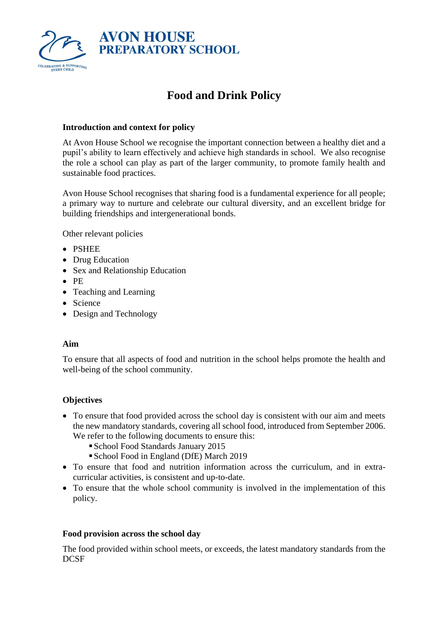

# **Food and Drink Policy**

# **Introduction and context for policy**

At Avon House School we recognise the important connection between a healthy diet and a pupil's ability to learn effectively and achieve high standards in school. We also recognise the role a school can play as part of the larger community, to promote family health and sustainable food practices.

Avon House School recognises that sharing food is a fundamental experience for all people; a primary way to nurture and celebrate our cultural diversity, and an excellent bridge for building friendships and intergenerational bonds.

Other relevant policies

- PSHEE
- Drug Education
- Sex and Relationship Education
- PE
- Teaching and Learning
- Science
- Design and Technology

#### **Aim**

To ensure that all aspects of food and nutrition in the school helps promote the health and well-being of the school community.

# **Objectives**

- To ensure that food provided across the school day is consistent with our aim and meets the new mandatory standards, covering all school food, introduced from September 2006. We refer to the following documents to ensure this:
	- ▪School Food Standards January 2015
	- ▪School Food in England (DfE) March 2019
- To ensure that food and nutrition information across the curriculum, and in extracurricular activities, is consistent and up-to-date.
- To ensure that the whole school community is involved in the implementation of this policy.

#### **Food provision across the school day**

The food provided within school meets, or exceeds, the latest mandatory standards from the DCSF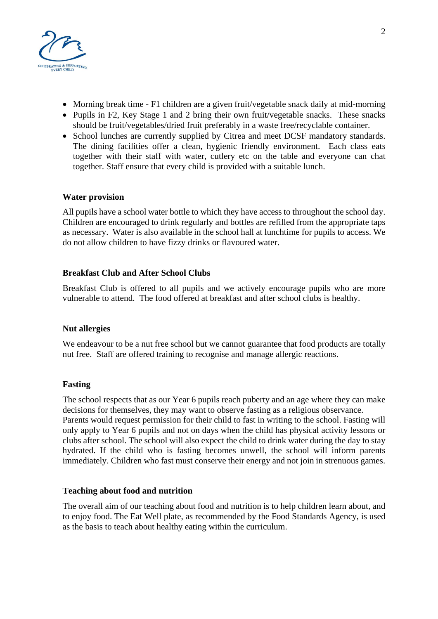

- Morning break time F1 children are a given fruit/vegetable snack daily at mid-morning
- Pupils in F2, Key Stage 1 and 2 bring their own fruit/vegetable snacks. These snacks should be fruit/vegetables/dried fruit preferably in a waste free/recyclable container.
- School lunches are currently supplied by Citrea and meet DCSF mandatory standards. The dining facilities offer a clean, hygienic friendly environment. Each class eats together with their staff with water, cutlery etc on the table and everyone can chat together. Staff ensure that every child is provided with a suitable lunch.

#### **Water provision**

All pupils have a school water bottle to which they have access to throughout the school day. Children are encouraged to drink regularly and bottles are refilled from the appropriate taps as necessary. Water is also available in the school hall at lunchtime for pupils to access. We do not allow children to have fizzy drinks or flavoured water.

## **Breakfast Club and After School Clubs**

Breakfast Club is offered to all pupils and we actively encourage pupils who are more vulnerable to attend. The food offered at breakfast and after school clubs is healthy.

#### **Nut allergies**

We endeavour to be a nut free school but we cannot guarantee that food products are totally nut free. Staff are offered training to recognise and manage allergic reactions.

#### **Fasting**

The school respects that as our Year 6 pupils reach puberty and an age where they can make decisions for themselves, they may want to observe fasting as a religious observance. Parents would request permission for their child to fast in writing to the school. Fasting will only apply to Year 6 pupils and not on days when the child has physical activity lessons or clubs after school. The school will also expect the child to drink water during the day to stay hydrated. If the child who is fasting becomes unwell, the school will inform parents immediately. Children who fast must conserve their energy and not join in strenuous games.

#### **Teaching about food and nutrition**

The overall aim of our teaching about food and nutrition is to help children learn about, and to enjoy food. The Eat Well plate, as recommended by the Food Standards Agency, is used as the basis to teach about healthy eating within the curriculum.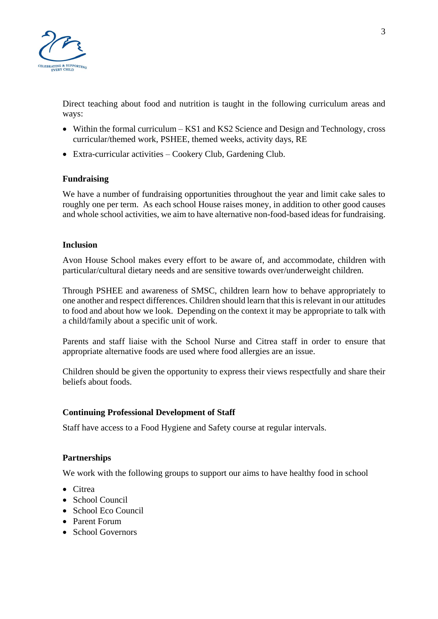

Direct teaching about food and nutrition is taught in the following curriculum areas and ways:

- Within the formal curriculum KS1 and KS2 Science and Design and Technology, cross curricular/themed work, PSHEE, themed weeks, activity days, RE
- Extra-curricular activities Cookery Club, Gardening Club.

## **Fundraising**

We have a number of fundraising opportunities throughout the year and limit cake sales to roughly one per term. As each school House raises money, in addition to other good causes and whole school activities, we aim to have alternative non-food-based ideas for fundraising.

#### **Inclusion**

Avon House School makes every effort to be aware of, and accommodate, children with particular/cultural dietary needs and are sensitive towards over/underweight children.

Through PSHEE and awareness of SMSC, children learn how to behave appropriately to one another and respect differences. Children should learn that this is relevant in our attitudes to food and about how we look. Depending on the context it may be appropriate to talk with a child/family about a specific unit of work.

Parents and staff liaise with the School Nurse and Citrea staff in order to ensure that appropriate alternative foods are used where food allergies are an issue.

Children should be given the opportunity to express their views respectfully and share their beliefs about foods.

#### **Continuing Professional Development of Staff**

Staff have access to a Food Hygiene and Safety course at regular intervals.

#### **Partnerships**

We work with the following groups to support our aims to have healthy food in school

- Citrea
- School Council
- School Eco Council
- Parent Forum
- School Governors